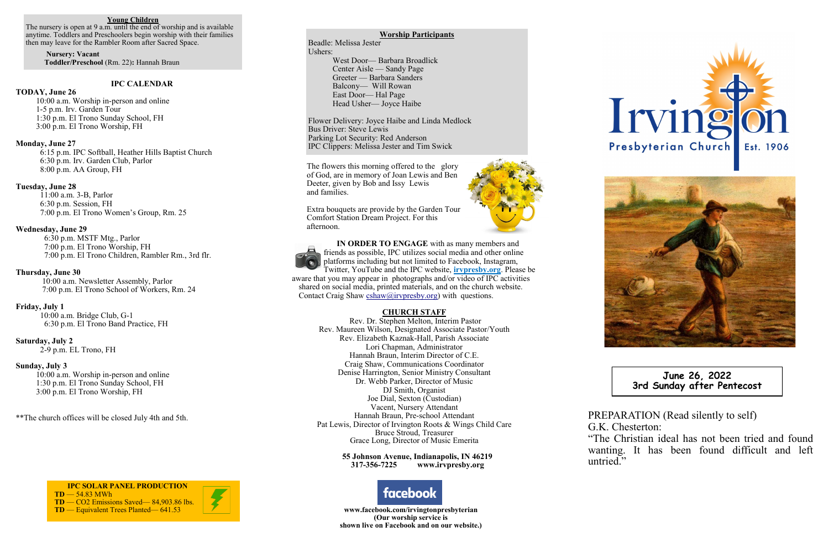PREPARATION (Read silently to self) G.K. Chesterton:

"The Christian ideal has not been tried and found wanting. It has been found difficult and left

untried."





**June 26, 2022 3rd Sunday after Pentecost** 

## **IPC CALENDAR**

## **TODAY, June 26**

 10:00 a.m. Worship in-person and online 1-5 p.m. Irv. Garden Tour 1:30 p.m. El Trono Sunday School, FH 3:00 p.m. El Trono Worship, FH

## **Monday, June 27**

6:15 p.m. IPC Softball, Heather Hills Baptist Church 6:30 p.m. Irv. Garden Club, Parlor 8:00 p.m. AA Group, FH

## **Tuesday, June 28**

11:00 a.m. 3-B, Parlor 6:30 p.m. Session, FH 7:00 p.m. El Trono Women's Group, Rm. 25

#### **Wednesday, June 29**

 6:30 p.m. MSTF Mtg., Parlor 7:00 p.m. El Trono Worship, FH 7:00 p.m. El Trono Children, Rambler Rm., 3rd flr.

## **Thursday, June 30**

10:00 a.m. Newsletter Assembly, Parlor 7:00 p.m. El Trono School of Workers, Rm. 24

## **Friday, July 1**

 10:00 a.m. Bridge Club, G-1 6:30 p.m. El Trono Band Practice, FH

#### **Saturday, July 2**

2-9 p.m. EL Trono, FH

### **Sunday, July 3**

 10:00 a.m. Worship in-person and online 1:30 p.m. El Trono Sunday School, FH 3:00 p.m. El Trono Worship, FH

\*\*The church offices will be closed July 4th and 5th.

 **IN ORDER TO ENGAGE** with as many members and friends as possible, IPC utilizes social media and other online platforms including but not limited to Facebook, Instagram, Twitter, YouTube and the IPC website, **irvpresby.org**. Please be aware that you may appear in photographs and/or video of IPC activities shared on social media, printed materials, and on the church website. Contact Craig Shaw cshaw@irvpresby.org) with questions.

## **CHURCH STAFF**

Rev. Dr. Stephen Melton, Interim Pastor Rev. Maureen Wilson, Designated Associate Pastor/Youth Rev. Elizabeth Kaznak-Hall, Parish Associate Lori Chapman, Administrator Hannah Braun, Interim Director of C.E. Craig Shaw, Communications Coordinator Denise Harrington, Senior Ministry Consultant Dr. Webb Parker, Director of Music DJ Smith, Organist Joe Dial, Sexton (Custodian) Vacent, Nursery Attendant Hannah Braun, Pre-school Attendant Pat Lewis, Director of Irvington Roots & Wings Child Care Bruce Stroud, Treasurer Grace Long, Director of Music Emerita

> **55 Johnson Avenue, Indianapolis, IN 46219 317-356-7225 www.irvpresby.org**

 **IPC SOLAR PANEL PRODUCTION TD** — 54.83 MWh **TD** — CO2 Emissions Saved— 84,903.86 lbs. **TD** — Equivalent Trees Planted— 641.53 **www.facebook.com/irvingtonpresbyterian** 





**(Our worship service is shown live on Facebook and on our website.)**

## **Worship Participants**

Beadle: Melissa Jester Ushers: West Door— Barbara Broadlick Center Aisle — Sandy Page Greeter — Barbara Sanders Balcony— Will Rowan East Door— Hal Page Head Usher— Joyce Haibe

Flower Delivery: Joyce Haibe and Linda Medlock Bus Driver: Steve Lewis Parking Lot Security: Red Anderson IPC Clippers: Melissa Jester and Tim Swick

### **Young Children**

The nursery is open at 9 a.m. until the end of worship and is available anytime. Toddlers and Preschoolers begin worship with their families then may leave for the Rambler Room after Sacred Space.

 **Nursery: Vacant Toddler/Preschool** (Rm. 22)**:** Hannah Braun

> The flowers this morning offered to the glory of God, are in memory of Joan Lewis and Ben Deeter, given by Bob and Issy Lewis and families.

Extra bouquets are provide by the Garden Tour Comfort Station Dream Project. For this afternoon.

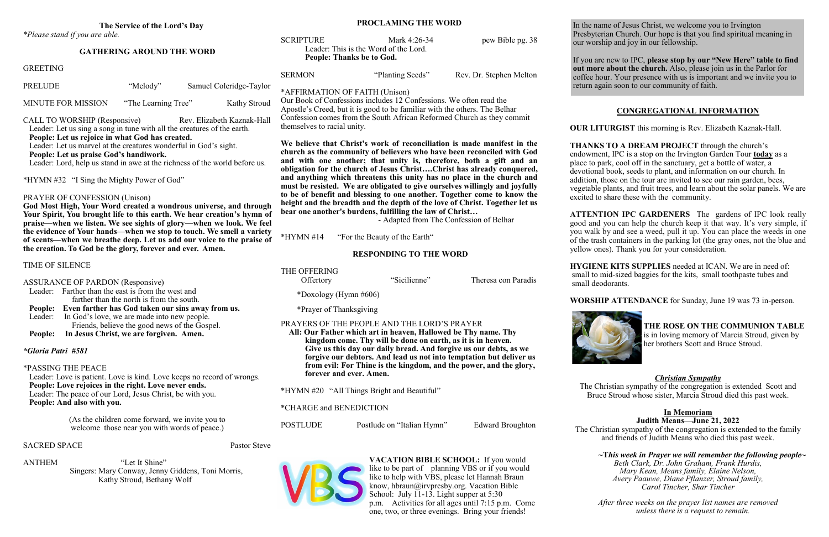## **The Service of the Lord's Day**

*\*Please stand if you are able.*

## **GATHERING AROUND THE WORD**

Kathy Stroud, Bethany Wolf

In the name of Jesus Christ, we welcome you to Irvington Presbyterian Church. Our hope is that you find spiritual meaning in our worship and joy in our fellowship.

know, hbraun@irvpresby.org. Vacation Bible School: July 11-13. Light supper at 5:30

If you are new to IPC, **please stop by our "New Here" table to find out more about the church.** Also, please join us in the Parlor for coffee hour. Your presence with us is important and we invite you to return again soon to our community of faith.

|                                                                                                                                                                                                                                                                   |                                                                                                 |                                              |  |                                             | People: Thanks be to God.                                                                                                                                                                                                                                                                                                                                                                                                                                                                                                                                                                                                                                                                                                                                                                                                                                                                                                                                                                                                                                                                                   |                         |                            |                                                                                                                                                                                                                |
|-------------------------------------------------------------------------------------------------------------------------------------------------------------------------------------------------------------------------------------------------------------------|-------------------------------------------------------------------------------------------------|----------------------------------------------|--|---------------------------------------------|-------------------------------------------------------------------------------------------------------------------------------------------------------------------------------------------------------------------------------------------------------------------------------------------------------------------------------------------------------------------------------------------------------------------------------------------------------------------------------------------------------------------------------------------------------------------------------------------------------------------------------------------------------------------------------------------------------------------------------------------------------------------------------------------------------------------------------------------------------------------------------------------------------------------------------------------------------------------------------------------------------------------------------------------------------------------------------------------------------------|-------------------------|----------------------------|----------------------------------------------------------------------------------------------------------------------------------------------------------------------------------------------------------------|
| <b>GREETING</b>                                                                                                                                                                                                                                                   |                                                                                                 |                                              |  |                                             | <b>SERMON</b>                                                                                                                                                                                                                                                                                                                                                                                                                                                                                                                                                                                                                                                                                                                                                                                                                                                                                                                                                                                                                                                                                               |                         | "Planting Seeds"           | Rev. Dr. Stephen Melton                                                                                                                                                                                        |
| <b>PRELUDE</b>                                                                                                                                                                                                                                                    |                                                                                                 | "Melody"                                     |  | Samuel Coleridge-Taylor                     |                                                                                                                                                                                                                                                                                                                                                                                                                                                                                                                                                                                                                                                                                                                                                                                                                                                                                                                                                                                                                                                                                                             |                         |                            |                                                                                                                                                                                                                |
| <b>MINUTE FOR MISSION</b><br>"The Learning Tree"<br>Kathy Stroud                                                                                                                                                                                                  |                                                                                                 |                                              |  |                                             | *AFFIRMATION OF FAITH (Unison)<br>Our Book of Confessions includes 12 Confessions. We often read the<br>Apostle's Creed, but it is good to be familiar with the others. The Belhar<br>Confession comes from the South African Reformed Church as they commit<br>themselves to racial unity.<br>We believe that Christ's work of reconciliation is made manifest in the<br>church as the community of believers who have been reconciled with God<br>and with one another; that unity is, therefore, both a gift and an<br>obligation for the church of Jesus ChristChrist has already conquered,<br>and anything which threatens this unity has no place in the church and<br>must be resisted. We are obligated to give ourselves willingly and joyfully<br>to be of benefit and blessing to one another. Together come to know the<br>height and the breadth and the depth of the love of Christ. Together let us<br>bear one another's burdens, fulfilling the law of Christ<br>- Adapted from The Confession of Belhar<br>$*HYMN #14$<br>"For the Beauty of the Earth"<br><b>RESPONDING TO THE WORD</b> |                         |                            |                                                                                                                                                                                                                |
| CALL TO WORSHIP (Responsive)<br>Rev. Elizabeth Kaznak-Hall<br>Leader: Let us sing a song in tune with all the creatures of the earth.<br>People: Let us rejoice in what God has created.                                                                          |                                                                                                 |                                              |  |                                             |                                                                                                                                                                                                                                                                                                                                                                                                                                                                                                                                                                                                                                                                                                                                                                                                                                                                                                                                                                                                                                                                                                             |                         |                            |                                                                                                                                                                                                                |
| Leader: Let us marvel at the creatures wonderful in God's sight.<br>People: Let us praise God's handiwork.<br>Leader: Lord, help us stand in awe at the richness of the world before us.                                                                          |                                                                                                 |                                              |  |                                             |                                                                                                                                                                                                                                                                                                                                                                                                                                                                                                                                                                                                                                                                                                                                                                                                                                                                                                                                                                                                                                                                                                             |                         |                            |                                                                                                                                                                                                                |
| *HYMN #32 "I Sing the Mighty Power of God"                                                                                                                                                                                                                        |                                                                                                 |                                              |  |                                             |                                                                                                                                                                                                                                                                                                                                                                                                                                                                                                                                                                                                                                                                                                                                                                                                                                                                                                                                                                                                                                                                                                             |                         |                            |                                                                                                                                                                                                                |
| PRAYER OF CONFESSION (Unison)<br>God Most High, Your Word created a wondrous universe, and through<br>Your Spirit, You brought life to this earth. We hear creation's hymn of<br>praise—when we listen. We see sights of glory—when we look. We feel              |                                                                                                 |                                              |  |                                             |                                                                                                                                                                                                                                                                                                                                                                                                                                                                                                                                                                                                                                                                                                                                                                                                                                                                                                                                                                                                                                                                                                             |                         |                            |                                                                                                                                                                                                                |
| the evidence of Your hands—when we stop to touch. We smell a variety<br>of scents—when we breathe deep. Let us add our voice to the praise of                                                                                                                     |                                                                                                 |                                              |  |                                             |                                                                                                                                                                                                                                                                                                                                                                                                                                                                                                                                                                                                                                                                                                                                                                                                                                                                                                                                                                                                                                                                                                             |                         |                            |                                                                                                                                                                                                                |
| the creation. To God be the glory, forever and ever. Amen.                                                                                                                                                                                                        |                                                                                                 |                                              |  |                                             |                                                                                                                                                                                                                                                                                                                                                                                                                                                                                                                                                                                                                                                                                                                                                                                                                                                                                                                                                                                                                                                                                                             |                         |                            |                                                                                                                                                                                                                |
| TIME OF SILENCE                                                                                                                                                                                                                                                   |                                                                                                 |                                              |  |                                             | THE OFFERING                                                                                                                                                                                                                                                                                                                                                                                                                                                                                                                                                                                                                                                                                                                                                                                                                                                                                                                                                                                                                                                                                                |                         | "Sicilienne"               | Theresa con Paradis                                                                                                                                                                                            |
| <b>ASSURANCE OF PARDON (Responsive)</b><br>Leader: Farther than the east is from the west and<br>farther than the north is from the south.<br>People: Even farther has God taken our sins away from us.<br>In God's love, we are made into new people.<br>Leader: |                                                                                                 |                                              |  |                                             | Offertory<br>*Doxology (Hymn $\#606$ )<br>*Prayer of Thanksgiving                                                                                                                                                                                                                                                                                                                                                                                                                                                                                                                                                                                                                                                                                                                                                                                                                                                                                                                                                                                                                                           |                         |                            |                                                                                                                                                                                                                |
|                                                                                                                                                                                                                                                                   |                                                                                                 |                                              |  |                                             |                                                                                                                                                                                                                                                                                                                                                                                                                                                                                                                                                                                                                                                                                                                                                                                                                                                                                                                                                                                                                                                                                                             |                         |                            |                                                                                                                                                                                                                |
| *Gloria Patri #581                                                                                                                                                                                                                                                | *PASSING THE PEACE                                                                              |                                              |  |                                             |                                                                                                                                                                                                                                                                                                                                                                                                                                                                                                                                                                                                                                                                                                                                                                                                                                                                                                                                                                                                                                                                                                             | forever and ever. Amen. |                            | Give us this day our daily bread. And forgive us our debts, as we<br>forgive our debtors. And lead us not into temptation but deliver us<br>from evil: For Thine is the kingdom, and the power, and the glory, |
| Leader: Love is patient. Love is kind. Love keeps no record of wrongs.<br>People: Love rejoices in the right. Love never ends.<br>Leader: The peace of our Lord, Jesus Christ, be with you.<br>People: And also with you.                                         |                                                                                                 |                                              |  | *HYMN #20 "All Things Bright and Beautiful" |                                                                                                                                                                                                                                                                                                                                                                                                                                                                                                                                                                                                                                                                                                                                                                                                                                                                                                                                                                                                                                                                                                             |                         |                            |                                                                                                                                                                                                                |
|                                                                                                                                                                                                                                                                   |                                                                                                 |                                              |  | *CHARGE and BENEDICTION                     |                                                                                                                                                                                                                                                                                                                                                                                                                                                                                                                                                                                                                                                                                                                                                                                                                                                                                                                                                                                                                                                                                                             |                         |                            |                                                                                                                                                                                                                |
|                                                                                                                                                                                                                                                                   | (As the children come forward, we invite you to<br>welcome those near you with words of peace.) |                                              |  |                                             | <b>POSTLUDE</b>                                                                                                                                                                                                                                                                                                                                                                                                                                                                                                                                                                                                                                                                                                                                                                                                                                                                                                                                                                                                                                                                                             |                         | Postlude on "Italian Hymn" | <b>Edward Broughton</b>                                                                                                                                                                                        |
| <b>SACRED SPACE</b>                                                                                                                                                                                                                                               |                                                                                                 |                                              |  | Pastor Steve                                |                                                                                                                                                                                                                                                                                                                                                                                                                                                                                                                                                                                                                                                                                                                                                                                                                                                                                                                                                                                                                                                                                                             |                         |                            |                                                                                                                                                                                                                |
| ANTHEM                                                                                                                                                                                                                                                            | Singers: Mary Conway, Jenny Giddens, Toni Morris,                                               | "Let It Shine"<br>Kathy Stroud, Bethany Wolf |  |                                             |                                                                                                                                                                                                                                                                                                                                                                                                                                                                                                                                                                                                                                                                                                                                                                                                                                                                                                                                                                                                                                                                                                             |                         |                            | VACATION BIBLE SCHOOL: If you would<br>like to be part of planning VBS or if you would<br>like to help with VBS, please let Hannah Braun                                                                       |

**PROCLAMING THE WORD** 

SCRIPTURE Mark 4:26-34 pew Bible pg. 38

Leader: This is the Word of the Lord.



one, two, or three evenings. Bring your friends!

# **CONGREGATIONAL INFORMATION**

**OUR LITURGIST** this morning is Rev. Elizabeth Kaznak-Hall.

**THANKS TO A DREAM PROJECT** through the church's endowment, IPC is a stop on the Irvington Garden Tour **today** as a place to park, cool off in the sanctuary, get a bottle of water, a devotional book, seeds to plant, and information on our church. In addition, those on the tour are invited to see our rain garden, bees, vegetable plants, and fruit trees, and learn about the solar panels. We are excited to share these with the community.

**ATTENTION IPC GARDENERS** The gardens of IPC look really good and you can help the church keep it that way. It's very simple, if you walk by and see a weed, pull it up. You can place the weeds in one of the trash containers in the parking lot (the gray ones, not the blue and yellow ones). Thank you for your consideration.

**HYGIENE KITS SUPPLIES** needed at ICAN. We are in need of: small to mid-sized baggies for the kits, small toothpaste tubes and small deodorants.



**WORSHIP ATTENDANCE** for Sunday, June 19 was 73 in-person.



**THE ROSE ON THE COMMUNION TABLE** is in loving memory of Marcia Stroud, given by her brothers Scott and Bruce Stroud.

# *Christian Sympathy*

The Christian sympathy of the congregation is extended Scott and Bruce Stroud whose sister, Marcia Stroud died this past week.

## **In Memoriam Judith Means—June 21, 2022**

The Christian sympathy of the congregation is extended to the family and friends of Judith Means who died this past week.

*~***T***his week in Prayer we will remember the following people~ Beth Clark, Dr. John Graham, Frank Hurdis, Mary Kean, Means family, Elaine Nelson, Avery Paauwe, Diane Pflanzer, Stroud family, Carol Tincher, Shar Tincher*

*After three weeks on the prayer list names are removed unless there is a request to remain.*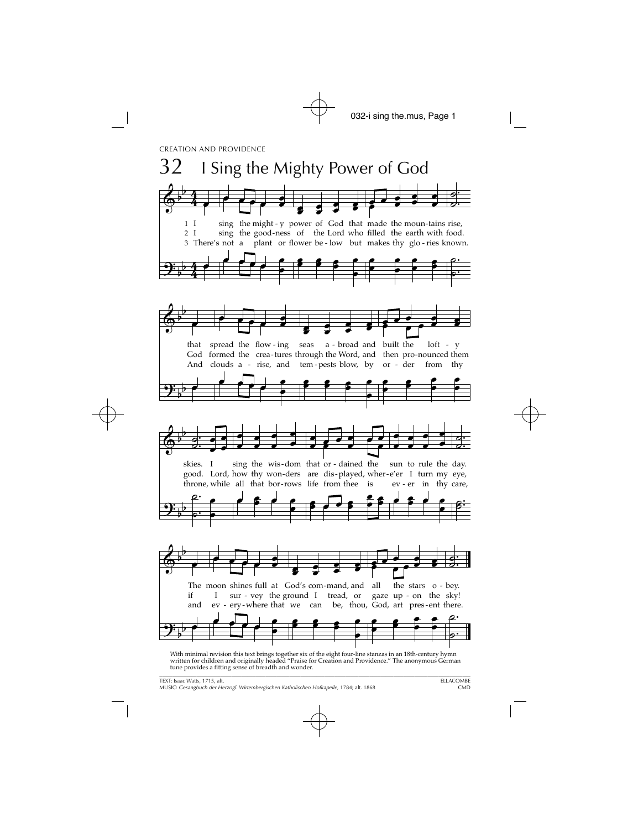

With minimal revision this text brings together six of the eight four-line stanzas in an 18th-century hymn written for children and originally headed "Praise for Creation and Providence." The anonymous German tune provides a fitting sense of breadth and wonder.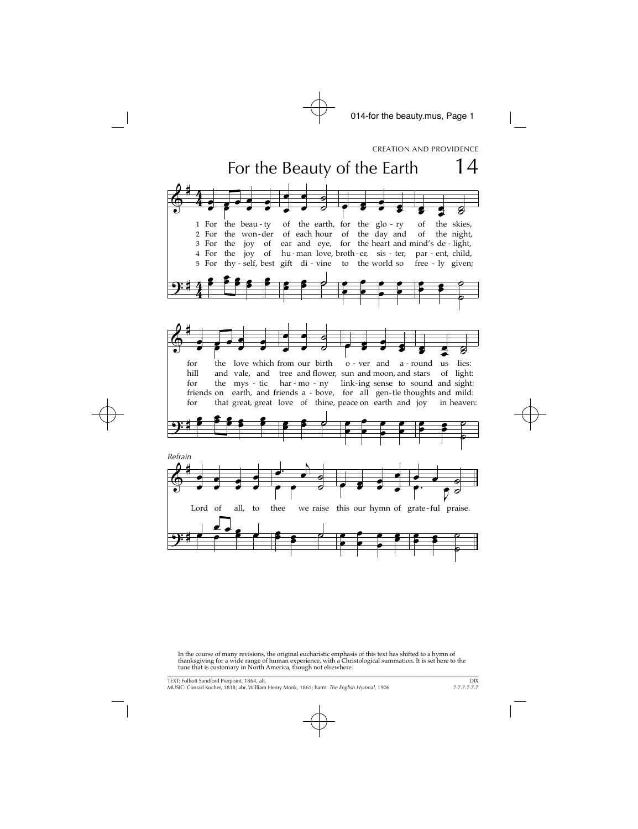

In the course of many revisions, the original eucharistic emphasis of this text has shifted to a hymn of thanksgiving for a wide range of human experience, with a Christological summation. It is set here to the tune that is customary in North America, though not elsewhere.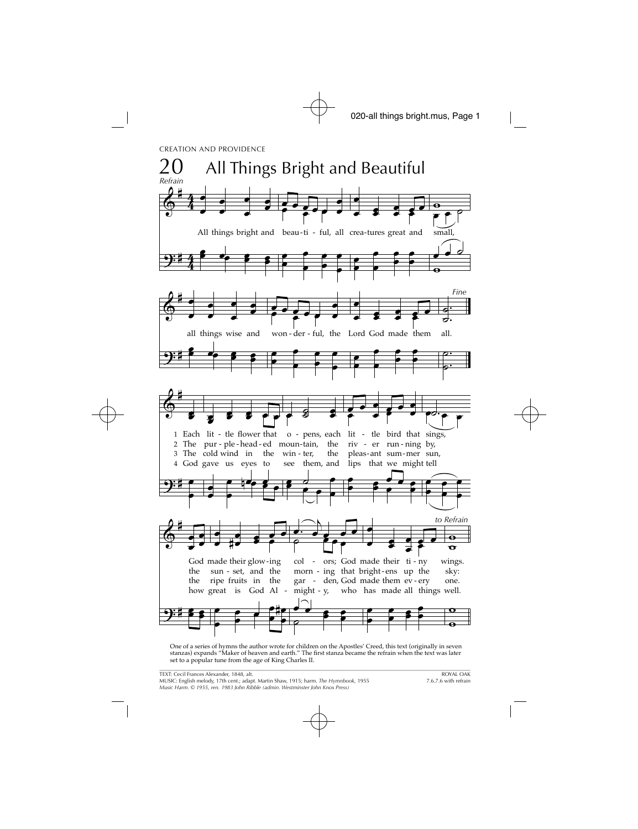CREATION AND PROVIDENCE



One of a series of hymns the author wrote for children on the Apostles' Creed, this text (originally in seven stanzas) expands "Maker of heaven and earth." The first stanza became the refrain when the text was later set to a popular tune from the age of King Charles II.